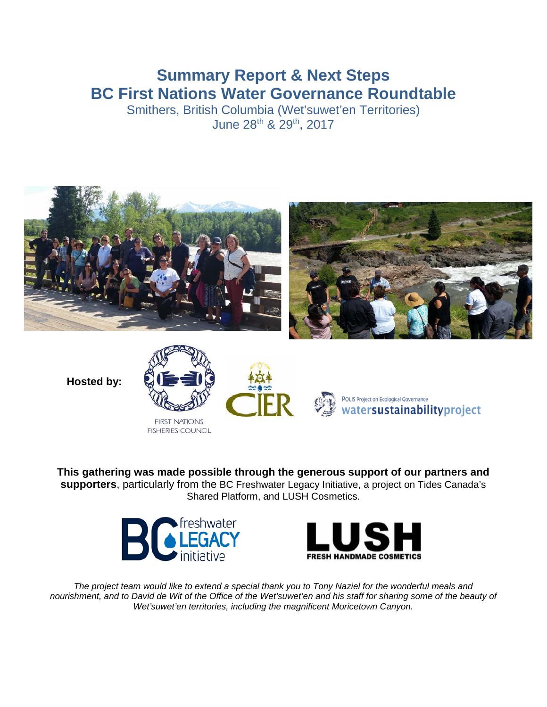# **Summary Report & Next Steps BC First Nations Water Governance Roundtable**

Smithers, British Columbia (Wet'suwet'en Territories) June 28th & 29th, 2017





**Hosted by:** 





**FISHERIES COUNCIL** 

POLIS Project on Ecological Governance watersustainabilityproject

**This gathering was made possible through the generous support of our partners and supporters**, particularly from the BC Freshwater Legacy Initiative, a project on Tides Canada's Shared Platform, and LUSH Cosmetics.





*The project team would like to extend a special thank you to Tony Naziel for the wonderful meals and nourishment, and to David de Wit of the Office of the Wet'suwet'en and his staff for sharing some of the beauty of Wet'suwet'en territories, including the magnificent Moricetown Canyon.*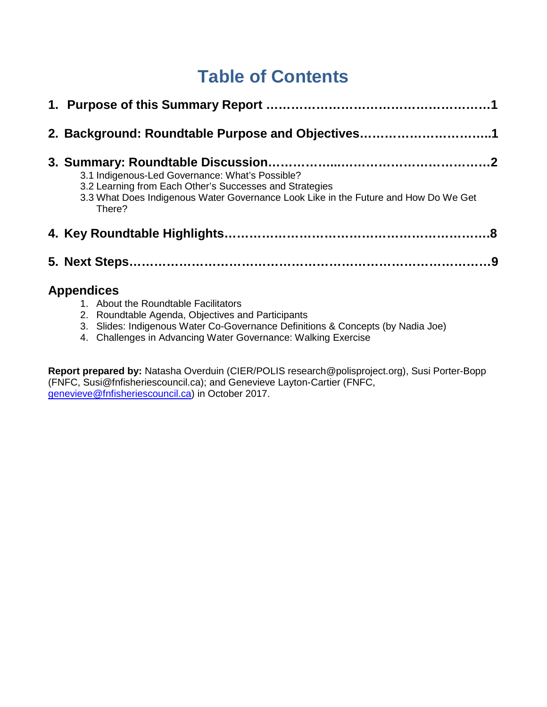# **Table of Contents**

| 2. Background: Roundtable Purpose and Objectives1                                                                                                                                                           |
|-------------------------------------------------------------------------------------------------------------------------------------------------------------------------------------------------------------|
| 3.1 Indigenous-Led Governance: What's Possible?<br>3.2 Learning from Each Other's Successes and Strategies<br>3.3 What Does Indigenous Water Governance Look Like in the Future and How Do We Get<br>There? |
|                                                                                                                                                                                                             |
|                                                                                                                                                                                                             |
| <b>Appendices</b><br>1. About the Roundtable Facilitators<br>2. Roundtable Agenda, Objectives and Participants                                                                                              |

- 3. Slides: Indigenous Water Co-Governance Definitions & Concepts (by Nadia Joe)
- 4. Challenges in Advancing Water Governance: Walking Exercise

**Report prepared by:** Natasha Overduin (CIER/POLIS research@polisproject.org), Susi Porter-Bopp (FNFC, Susi@fnfisheriescouncil.ca); and Genevieve Layton-Cartier (FNFC, [genevieve@fnfisheriescouncil.ca\)](mailto:genevieve@fnfisheriescouncil.ca) in October 2017.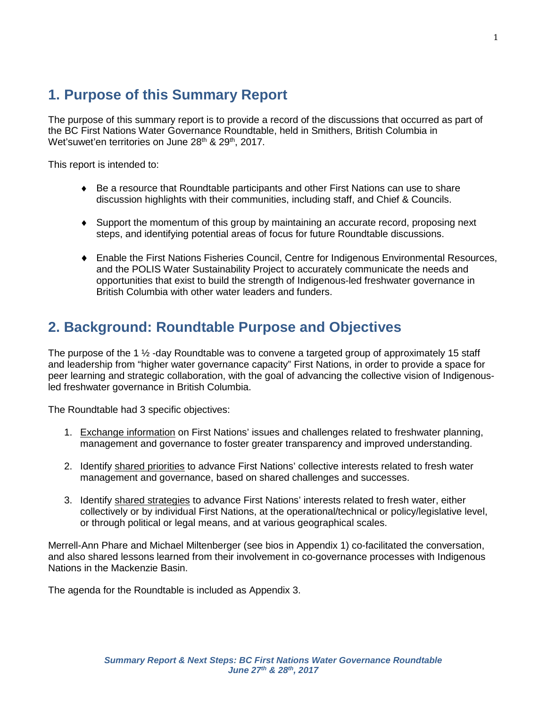# **1. Purpose of this Summary Report**

The purpose of this summary report is to provide a record of the discussions that occurred as part of the BC First Nations Water Governance Roundtable, held in Smithers, British Columbia in Wet'suwet'en territories on June 28<sup>th</sup> & 29<sup>th</sup>, 2017.

This report is intended to:

- ◆ Be a resource that Roundtable participants and other First Nations can use to share discussion highlights with their communities, including staff, and Chief & Councils.
- ♦ Support the momentum of this group by maintaining an accurate record, proposing next steps, and identifying potential areas of focus for future Roundtable discussions.
- ♦ Enable the First Nations Fisheries Council, Centre for Indigenous Environmental Resources, and the POLIS Water Sustainability Project to accurately communicate the needs and opportunities that exist to build the strength of Indigenous-led freshwater governance in British Columbia with other water leaders and funders.

# **2. Background: Roundtable Purpose and Objectives**

The purpose of the 1 ½ -day Roundtable was to convene a targeted group of approximately 15 staff and leadership from "higher water governance capacity" First Nations, in order to provide a space for peer learning and strategic collaboration, with the goal of advancing the collective vision of Indigenousled freshwater governance in British Columbia.

The Roundtable had 3 specific objectives:

- 1. Exchange information on First Nations' issues and challenges related to freshwater planning, management and governance to foster greater transparency and improved understanding.
- 2. Identify shared priorities to advance First Nations' collective interests related to fresh water management and governance, based on shared challenges and successes.
- 3. Identify shared strategies to advance First Nations' interests related to fresh water, either collectively or by individual First Nations, at the operational/technical or policy/legislative level, or through political or legal means, and at various geographical scales.

Merrell-Ann Phare and Michael Miltenberger (see bios in Appendix 1) co-facilitated the conversation, and also shared lessons learned from their involvement in co-governance processes with Indigenous Nations in the Mackenzie Basin.

The agenda for the Roundtable is included as Appendix 3.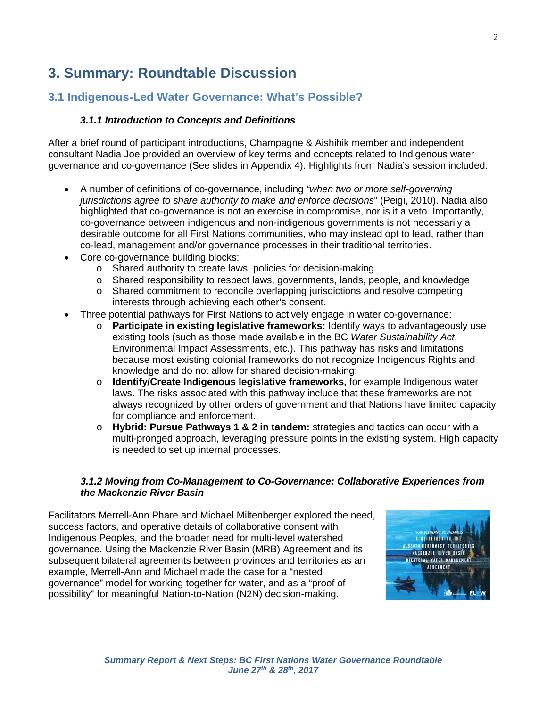# **3. Summary: Roundtable Discussion**

# **3.1 Indigenous-Led Water Governance: What's Possible?**

#### *3.1.1 Introduction to Concepts and Definitions*

After a brief round of participant introductions, Champagne & Aishihik member and independent consultant Nadia Joe provided an overview of key terms and concepts related to Indigenous water governance and co-governance (See slides in Appendix 4). Highlights from Nadia's session included:

- A number of definitions of co-governance, including *"when two or more self-governing jurisdictions agree to share authority to make and enforce decisions*" (Peigi, 2010). Nadia also highlighted that co-governance is not an exercise in compromise, nor is it a veto. Importantly, co-governance between indigenous and non-indigenous governments is not necessarily a desirable outcome for all First Nations communities, who may instead opt to lead, rather than co-lead, management and/or governance processes in their traditional territories.
- Core co-governance building blocks:
	- o Shared authority to create laws, policies for decision-making
	- o Shared responsibility to respect laws, governments, lands, people, and knowledge
	- o Shared commitment to reconcile overlapping jurisdictions and resolve competing interests through achieving each other's consent.
- Three potential pathways for First Nations to actively engage in water co-governance:
	- o **Participate in existing legislative frameworks:** Identify ways to advantageously use existing tools (such as those made available in the BC *Water Sustainability Act*, Environmental Impact Assessments, etc.). This pathway has risks and limitations because most existing colonial frameworks do not recognize Indigenous Rights and knowledge and do not allow for shared decision-making;
	- o **Identify/Create Indigenous legislative frameworks,** for example Indigenous water laws. The risks associated with this pathway include that these frameworks are not always recognized by other orders of government and that Nations have limited capacity for compliance and enforcement.
	- o **Hybrid: Pursue Pathways 1 & 2 in tandem:** strategies and tactics can occur with a multi-pronged approach, leveraging pressure points in the existing system. High capacity is needed to set up internal processes.

### *3.1.2 Moving from Co-Management to Co-Governance: Collaborative Experiences from the Mackenzie River Basin*

Facilitators Merrell-Ann Phare and Michael Miltenberger explored the need, success factors, and operative details of collaborative consent with Indigenous Peoples, and the broader need for multi-level watershed governance. Using the Mackenzie River Basin (MRB) Agreement and its subsequent bilateral agreements between provinces and territories as an example, Merrell-Ann and Michael made the case for a "nested governance" model for working together for water, and as a "proof of possibility" for meaningful Nation-to-Nation (N2N) decision-making.

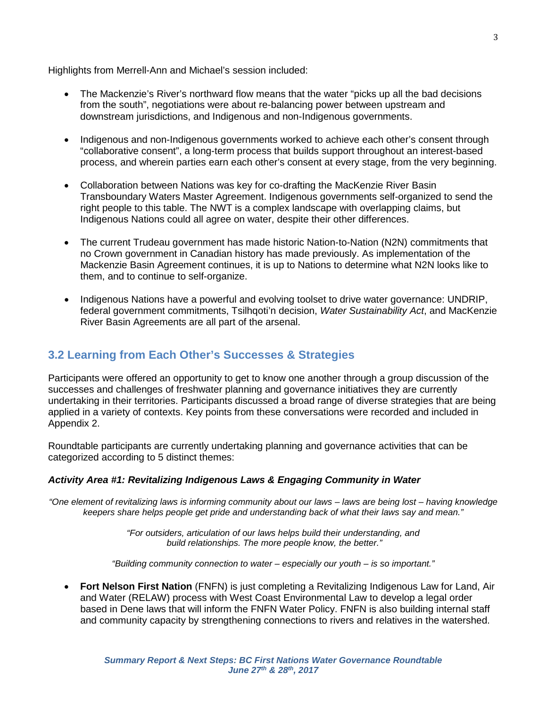Highlights from Merrell-Ann and Michael's session included:

- The Mackenzie's River's northward flow means that the water "picks up all the bad decisions from the south", negotiations were about re-balancing power between upstream and downstream jurisdictions, and Indigenous and non-Indigenous governments.
- Indigenous and non-Indigenous governments worked to achieve each other's consent through "collaborative consent", a long-term process that builds support throughout an interest-based process, and wherein parties earn each other's consent at every stage, from the very beginning.
- Collaboration between Nations was key for co-drafting the MacKenzie River Basin Transboundary Waters Master Agreement. Indigenous governments self-organized to send the right people to this table. The NWT is a complex landscape with overlapping claims, but Indigenous Nations could all agree on water, despite their other differences.
- The current Trudeau government has made historic Nation-to-Nation (N2N) commitments that no Crown government in Canadian history has made previously. As implementation of the Mackenzie Basin Agreement continues, it is up to Nations to determine what N2N looks like to them, and to continue to self-organize.
- Indigenous Nations have a powerful and evolving toolset to drive water governance: UNDRIP, federal government commitments, Tsilhqoti'n decision, *Water Sustainability Act*, and MacKenzie River Basin Agreements are all part of the arsenal.

# **3.2 Learning from Each Other's Successes & Strategies**

Participants were offered an opportunity to get to know one another through a group discussion of the successes and challenges of freshwater planning and governance initiatives they are currently undertaking in their territories. Participants discussed a broad range of diverse strategies that are being applied in a variety of contexts. Key points from these conversations were recorded and included in Appendix 2.

Roundtable participants are currently undertaking planning and governance activities that can be categorized according to 5 distinct themes:

### *Activity Area #1: Revitalizing Indigenous Laws & Engaging Community in Water*

*"One element of revitalizing laws is informing community about our laws – laws are being lost – having knowledge keepers share helps people get pride and understanding back of what their laws say and mean."*

> *"For outsiders, articulation of our laws helps build their understanding, and build relationships. The more people know, the better."*

*"Building community connection to water – especially our youth – is so important."*

• **Fort Nelson First Nation** (FNFN) is just completing a Revitalizing Indigenous Law for Land, Air and Water (RELAW) process with West Coast Environmental Law to develop a legal order based in Dene laws that will inform the FNFN Water Policy. FNFN is also building internal staff and community capacity by strengthening connections to rivers and relatives in the watershed.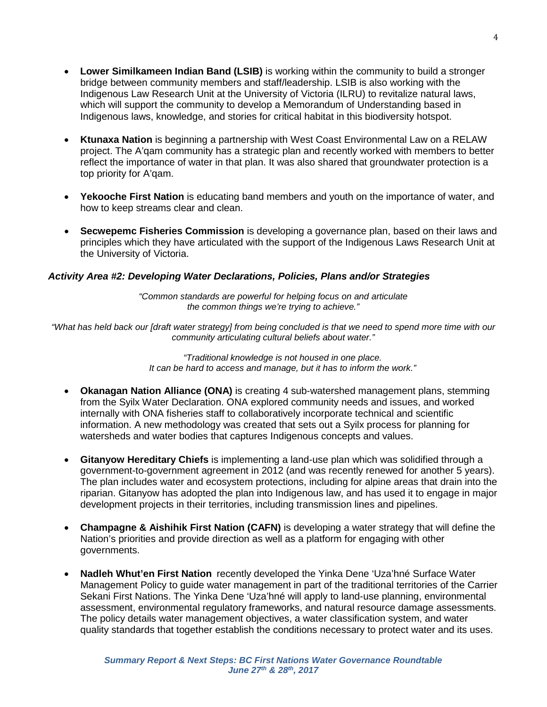- **Lower Similkameen Indian Band (LSIB)** is working within the community to build a stronger bridge between community members and staff/leadership. LSIB is also working with the Indigenous Law Research Unit at the University of Victoria (ILRU) to revitalize natural laws, which will support the community to develop a Memorandum of Understanding based in Indigenous laws, knowledge, and stories for critical habitat in this biodiversity hotspot.
- **Ktunaxa Nation** is beginning a partnership with West Coast Environmental Law on a RELAW project. The A'qam community has a strategic plan and recently worked with members to better reflect the importance of water in that plan. It was also shared that groundwater protection is a top priority for A'qam.
- **Yekooche First Nation** is educating band members and youth on the importance of water, and how to keep streams clear and clean.
- **Secwepemc Fisheries Commission** is developing a governance plan, based on their laws and principles which they have articulated with the support of the Indigenous Laws Research Unit at the University of Victoria.

### *Activity Area #2: Developing Water Declarations, Policies, Plans and/or Strategies*

*"Common standards are powerful for helping focus on and articulate the common things we're trying to achieve."*

*"What has held back our [draft water strategy] from being concluded is that we need to spend more time with our community articulating cultural beliefs about water."*

> *"Traditional knowledge is not housed in one place. It can be hard to access and manage, but it has to inform the work."*

- **Okanagan Nation Alliance (ONA)** is creating 4 sub-watershed management plans, stemming from the Syilx Water Declaration. ONA explored community needs and issues, and worked internally with ONA fisheries staff to collaboratively incorporate technical and scientific information. A new methodology was created that sets out a Syilx process for planning for watersheds and water bodies that captures Indigenous concepts and values.
- **Gitanyow Hereditary Chiefs** is implementing a land-use plan which was solidified through a government-to-government agreement in 2012 (and was recently renewed for another 5 years). The plan includes water and ecosystem protections, including for alpine areas that drain into the riparian. Gitanyow has adopted the plan into Indigenous law, and has used it to engage in major development projects in their territories, including transmission lines and pipelines.
- **Champagne & Aishihik First Nation (CAFN)** is developing a water strategy that will define the Nation's priorities and provide direction as well as a platform for engaging with other governments.
- **Nadleh Whut'en First Nation** recently developed the Yinka Dene 'Uza'hné Surface Water Management Policy to guide water management in part of the traditional territories of the Carrier Sekani First Nations. The Yinka Dene 'Uza'hné will apply to land-use planning, environmental assessment, environmental regulatory frameworks, and natural resource damage assessments. The policy details water management objectives, a water classification system, and water quality standards that together establish the conditions necessary to protect water and its uses.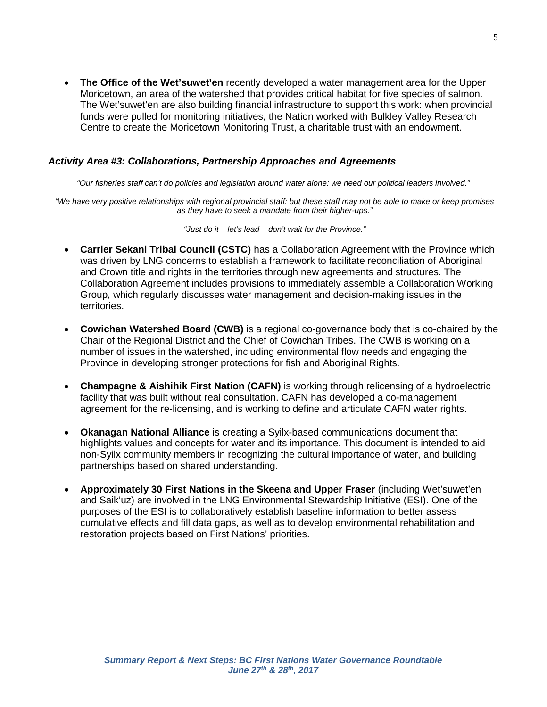• **The Office of the Wet'suwet'en** recently developed a water management area for the Upper Moricetown, an area of the watershed that provides critical habitat for five species of salmon. The Wet'suwet'en are also building financial infrastructure to support this work: when provincial funds were pulled for monitoring initiatives, the Nation worked with Bulkley Valley Research Centre to create the Moricetown Monitoring Trust, a charitable trust with an endowment.

#### *Activity Area #3: Collaborations, Partnership Approaches and Agreements*

*"Our fisheries staff can't do policies and legislation around water alone: we need our political leaders involved."*

*"We have very positive relationships with regional provincial staff: but these staff may not be able to make or keep promises as they have to seek a mandate from their higher-ups."*

*"Just do it – let's lead – don't wait for the Province."*

- **Carrier Sekani Tribal Council (CSTC)** has a Collaboration Agreement with the Province which was driven by LNG concerns to establish a framework to facilitate reconciliation of Aboriginal and Crown title and rights in the territories through new agreements and structures. The Collaboration Agreement includes provisions to immediately assemble a Collaboration Working Group, which regularly discusses water management and decision-making issues in the territories.
- **Cowichan Watershed Board (CWB)** is a regional co-governance body that is co-chaired by the Chair of the Regional District and the Chief of Cowichan Tribes. The CWB is working on a number of issues in the watershed, including environmental flow needs and engaging the Province in developing stronger protections for fish and Aboriginal Rights.
- **Champagne & Aishihik First Nation (CAFN)** is working through relicensing of a hydroelectric facility that was built without real consultation. CAFN has developed a co-management agreement for the re-licensing, and is working to define and articulate CAFN water rights.
- **Okanagan National Alliance** is creating a Syilx-based communications document that highlights values and concepts for water and its importance. This document is intended to aid non-Syilx community members in recognizing the cultural importance of water, and building partnerships based on shared understanding.
- **Approximately 30 First Nations in the Skeena and Upper Fraser** (including Wet'suwet'en and Saik'uz) are involved in the LNG Environmental Stewardship Initiative (ESI). One of the purposes of the ESI is to collaboratively establish baseline information to better assess cumulative effects and fill data gaps, as well as to develop environmental rehabilitation and restoration projects based on First Nations' priorities.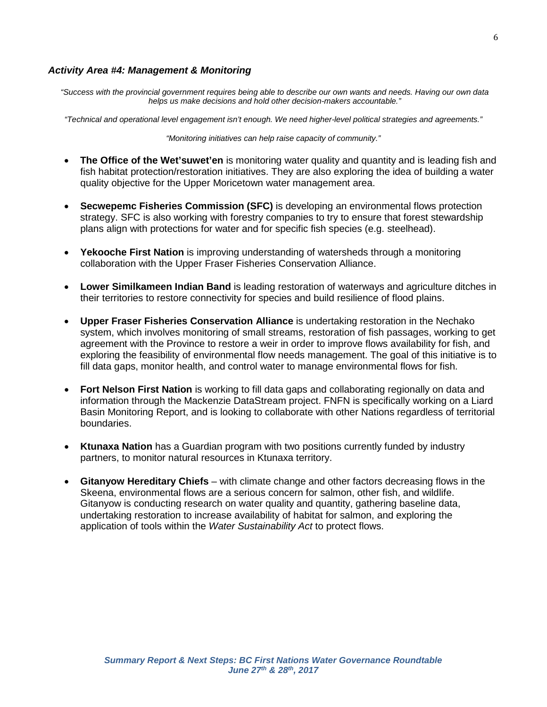#### *Activity Area #4: Management & Monitoring*

*"Success with the provincial government requires being able to describe our own wants and needs. Having our own data helps us make decisions and hold other decision-makers accountable."*

*"Technical and operational level engagement isn't enough. We need higher-level political strategies and agreements."*

*"Monitoring initiatives can help raise capacity of community."*

- **The Office of the Wet'suwet'en** is monitoring water quality and quantity and is leading fish and fish habitat protection/restoration initiatives. They are also exploring the idea of building a water quality objective for the Upper Moricetown water management area.
- **Secwepemc Fisheries Commission (SFC)** is developing an environmental flows protection strategy. SFC is also working with forestry companies to try to ensure that forest stewardship plans align with protections for water and for specific fish species (e.g. steelhead).
- **Yekooche First Nation** is improving understanding of watersheds through a monitoring collaboration with the Upper Fraser Fisheries Conservation Alliance.
- **Lower Similkameen Indian Band** is leading restoration of waterways and agriculture ditches in their territories to restore connectivity for species and build resilience of flood plains.
- **Upper Fraser Fisheries Conservation Alliance** is undertaking restoration in the Nechako system, which involves monitoring of small streams, restoration of fish passages, working to get agreement with the Province to restore a weir in order to improve flows availability for fish, and exploring the feasibility of environmental flow needs management. The goal of this initiative is to fill data gaps, monitor health, and control water to manage environmental flows for fish.
- **Fort Nelson First Nation** is working to fill data gaps and collaborating regionally on data and information through the Mackenzie DataStream project. FNFN is specifically working on a Liard Basin Monitoring Report, and is looking to collaborate with other Nations regardless of territorial boundaries.
- **Ktunaxa Nation** has a Guardian program with two positions currently funded by industry partners, to monitor natural resources in Ktunaxa territory.
- **Gitanyow Hereditary Chiefs** with climate change and other factors decreasing flows in the Skeena, environmental flows are a serious concern for salmon, other fish, and wildlife. Gitanyow is conducting research on water quality and quantity, gathering baseline data, undertaking restoration to increase availability of habitat for salmon, and exploring the application of tools within the *Water Sustainability Act* to protect flows.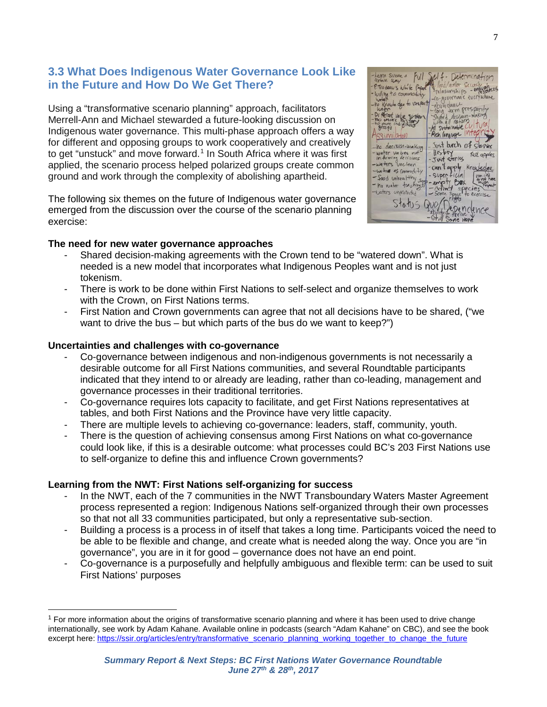# **3.3 What Does Indigenous Water Governance Look Like in the Future and How Do We Get There?**

Using a "transformative scenario planning" approach, facilitators Merrell-Ann and Michael stewarded a future-looking discussion on Indigenous water governance. This multi-phase approach offers a way for different and opposing groups to work cooperatively and creatively to get "unstuck" and move forward.<sup>[1](#page-8-0)</sup> In South Africa where it was first applied, the scenario process helped polarized groups create common ground and work through the complexity of abolishing apartheid.

The following six themes on the future of Indigenous water governance emerged from the discussion over the course of the scenario planning exercise:

#### **The need for new water governance approaches**

- Shared decision-making agreements with the Crown tend to be "watered down". What is needed is a new model that incorporates what Indigenous Peoples want and is not just tokenism.
- There is work to be done within First Nations to self-select and organize themselves to work with the Crown, on First Nations terms.
- First Nation and Crown governments can agree that not all decisions have to be shared, ("we want to drive the bus – but which parts of the bus do we want to keep?")

#### **Uncertainties and challenges with co-governance**

- Co-governance between indigenous and non-indigenous governments is not necessarily a desirable outcome for all First Nations communities, and several Roundtable participants indicated that they intend to or already are leading, rather than co-leading, management and governance processes in their traditional territories.
- Co-governance requires lots capacity to facilitate, and get First Nations representatives at tables, and both First Nations and the Province have very little capacity.
- There are multiple levels to achieving co-governance: leaders, staff, community, youth.
- There is the question of achieving consensus among First Nations on what co-governance could look like, if this is a desirable outcome: what processes could BC's 203 First Nations use to self-organize to define this and influence Crown governments?

#### **Learning from the NWT: First Nations self-organizing for success**

- In the NWT, each of the 7 communities in the NWT Transboundary Waters Master Agreement process represented a region: Indigenous Nations self-organized through their own processes so that not all 33 communities participated, but only a representative sub-section.
- Building a process is a process in of itself that takes a long time. Participants voiced the need to be able to be flexible and change, and create what is needed along the way. Once you are "in governance", you are in it for good – governance does not have an end point.
- Co-governance is a purposefully and helpfully ambiguous and flexible term: can be used to suit First Nations' purposes

Learn Screne a<br>erlain way  $Full$ Determination au's white Pa relasionship Co-governane to vespect undance erm pro d deciso Sustainable All Svstainable<br>Rich language Sust bunch of s decision-making  $-100$ -water values not<br>in firming decisions<br>-waters unclean History<br>Just Gerles can't apply<br>- super-ficial -waters as connoctify - Seed university s - unpty Box - he water teachings waters unprotected  $-$  Some Status.

<span id="page-8-0"></span><sup>&</sup>lt;sup>1</sup> For more information about the origins of transformative scenario planning and where it has been used to drive change internationally, see work by Adam Kahane. Available online in podcasts (search "Adam Kahane" on CBC), and see the book excerpt here: https://ssir.org/articles/entry/transformative\_scenario\_planning\_working\_together\_to\_change\_the\_future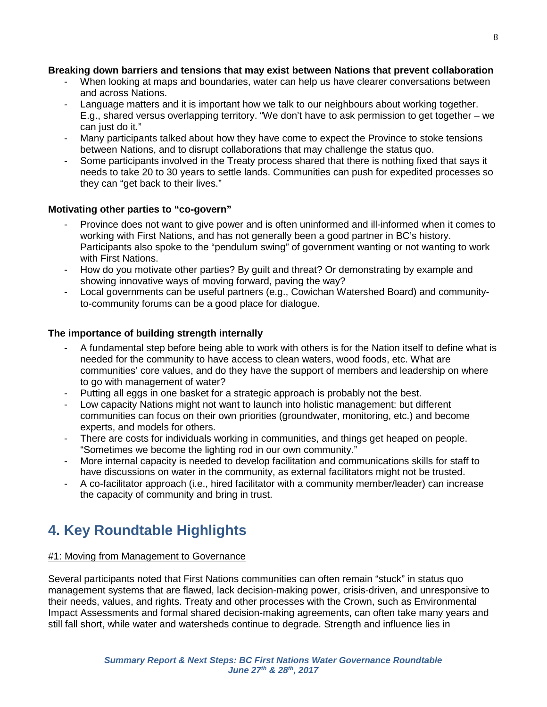### **Breaking down barriers and tensions that may exist between Nations that prevent collaboration**

- When looking at maps and boundaries, water can help us have clearer conversations between and across Nations.
- Language matters and it is important how we talk to our neighbours about working together. E.g., shared versus overlapping territory. "We don't have to ask permission to get together – we can just do it."
- Many participants talked about how they have come to expect the Province to stoke tensions between Nations, and to disrupt collaborations that may challenge the status quo.
- Some participants involved in the Treaty process shared that there is nothing fixed that says it needs to take 20 to 30 years to settle lands. Communities can push for expedited processes so they can "get back to their lives."

### **Motivating other parties to "co-govern"**

- Province does not want to give power and is often uninformed and ill-informed when it comes to working with First Nations, and has not generally been a good partner in BC's history. Participants also spoke to the "pendulum swing" of government wanting or not wanting to work with First Nations.
- How do you motivate other parties? By guilt and threat? Or demonstrating by example and showing innovative ways of moving forward, paving the way?
- Local governments can be useful partners (e.g., Cowichan Watershed Board) and communityto-community forums can be a good place for dialogue.

### **The importance of building strength internally**

- A fundamental step before being able to work with others is for the Nation itself to define what is needed for the community to have access to clean waters, wood foods, etc. What are communities' core values, and do they have the support of members and leadership on where to go with management of water?
- Putting all eggs in one basket for a strategic approach is probably not the best.
- Low capacity Nations might not want to launch into holistic management: but different communities can focus on their own priorities (groundwater, monitoring, etc.) and become experts, and models for others.
- There are costs for individuals working in communities, and things get heaped on people. "Sometimes we become the lighting rod in our own community."
- More internal capacity is needed to develop facilitation and communications skills for staff to have discussions on water in the community, as external facilitators might not be trusted.
- A co-facilitator approach (i.e., hired facilitator with a community member/leader) can increase the capacity of community and bring in trust.

# **4. Key Roundtable Highlights**

### #1: Moving from Management to Governance

Several participants noted that First Nations communities can often remain "stuck" in status quo management systems that are flawed, lack decision-making power, crisis-driven, and unresponsive to their needs, values, and rights. Treaty and other processes with the Crown, such as Environmental Impact Assessments and formal shared decision-making agreements, can often take many years and still fall short, while water and watersheds continue to degrade. Strength and influence lies in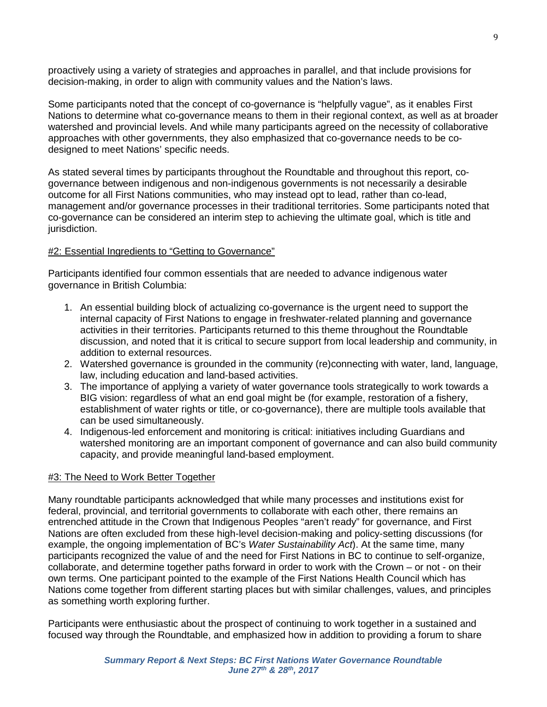proactively using a variety of strategies and approaches in parallel, and that include provisions for decision-making, in order to align with community values and the Nation's laws.

Some participants noted that the concept of co-governance is "helpfully vague", as it enables First Nations to determine what co-governance means to them in their regional context, as well as at broader watershed and provincial levels. And while many participants agreed on the necessity of collaborative approaches with other governments, they also emphasized that co-governance needs to be codesigned to meet Nations' specific needs.

As stated several times by participants throughout the Roundtable and throughout this report, cogovernance between indigenous and non-indigenous governments is not necessarily a desirable outcome for all First Nations communities, who may instead opt to lead, rather than co-lead, management and/or governance processes in their traditional territories. Some participants noted that co-governance can be considered an interim step to achieving the ultimate goal, which is title and jurisdiction.

### #2: Essential Ingredients to "Getting to Governance"

Participants identified four common essentials that are needed to advance indigenous water governance in British Columbia:

- 1. An essential building block of actualizing co-governance is the urgent need to support the internal capacity of First Nations to engage in freshwater-related planning and governance activities in their territories. Participants returned to this theme throughout the Roundtable discussion, and noted that it is critical to secure support from local leadership and community, in addition to external resources.
- 2. Watershed governance is grounded in the community (re)connecting with water, land, language, law, including education and land-based activities.
- 3. The importance of applying a variety of water governance tools strategically to work towards a BIG vision: regardless of what an end goal might be (for example, restoration of a fishery, establishment of water rights or title, or co-governance), there are multiple tools available that can be used simultaneously.
- 4. Indigenous-led enforcement and monitoring is critical: initiatives including Guardians and watershed monitoring are an important component of governance and can also build community capacity, and provide meaningful land-based employment.

#### #3: The Need to Work Better Together

Many roundtable participants acknowledged that while many processes and institutions exist for federal, provincial, and territorial governments to collaborate with each other, there remains an entrenched attitude in the Crown that Indigenous Peoples "aren't ready" for governance, and First Nations are often excluded from these high-level decision-making and policy-setting discussions (for example, the ongoing implementation of BC's *Water Sustainability Act*). At the same time, many participants recognized the value of and the need for First Nations in BC to continue to self-organize, collaborate, and determine together paths forward in order to work with the Crown – or not - on their own terms. One participant pointed to the example of the First Nations Health Council which has Nations come together from different starting places but with similar challenges, values, and principles as something worth exploring further.

Participants were enthusiastic about the prospect of continuing to work together in a sustained and focused way through the Roundtable, and emphasized how in addition to providing a forum to share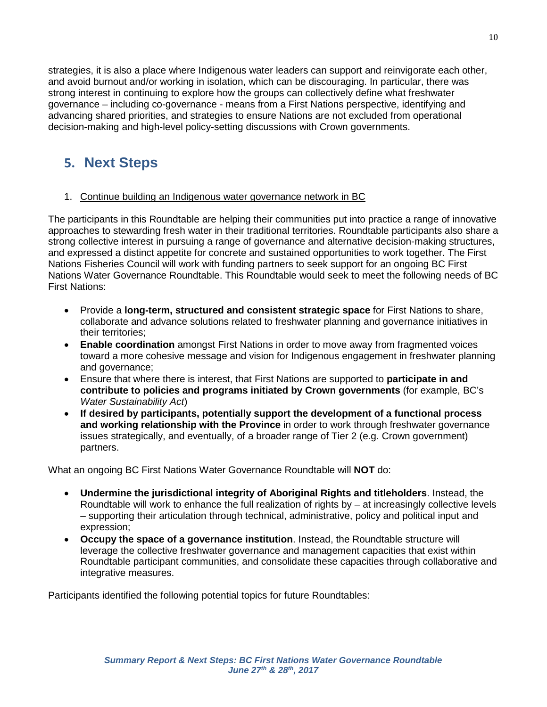strategies, it is also a place where Indigenous water leaders can support and reinvigorate each other, and avoid burnout and/or working in isolation, which can be discouraging. In particular, there was strong interest in continuing to explore how the groups can collectively define what freshwater governance – including co-governance - means from a First Nations perspective, identifying and advancing shared priorities, and strategies to ensure Nations are not excluded from operational decision-making and high-level policy-setting discussions with Crown governments.

# **5. Next Steps**

### 1. Continue building an Indigenous water governance network in BC

The participants in this Roundtable are helping their communities put into practice a range of innovative approaches to stewarding fresh water in their traditional territories. Roundtable participants also share a strong collective interest in pursuing a range of governance and alternative decision-making structures, and expressed a distinct appetite for concrete and sustained opportunities to work together. The First Nations Fisheries Council will work with funding partners to seek support for an ongoing BC First Nations Water Governance Roundtable. This Roundtable would seek to meet the following needs of BC First Nations:

- Provide a **long-term, structured and consistent strategic space** for First Nations to share, collaborate and advance solutions related to freshwater planning and governance initiatives in their territories;
- **Enable coordination** amongst First Nations in order to move away from fragmented voices toward a more cohesive message and vision for Indigenous engagement in freshwater planning and governance;
- Ensure that where there is interest, that First Nations are supported to **participate in and contribute to policies and programs initiated by Crown governments** (for example, BC's *Water Sustainability Act*)
- **If desired by participants, potentially support the development of a functional process and working relationship with the Province** in order to work through freshwater governance issues strategically, and eventually, of a broader range of Tier 2 (e.g. Crown government) partners.

What an ongoing BC First Nations Water Governance Roundtable will **NOT** do:

- **Undermine the jurisdictional integrity of Aboriginal Rights and titleholders**. Instead, the Roundtable will work to enhance the full realization of rights by  $-$  at increasingly collective levels – supporting their articulation through technical, administrative, policy and political input and expression;
- **Occupy the space of a governance institution**. Instead, the Roundtable structure will leverage the collective freshwater governance and management capacities that exist within Roundtable participant communities, and consolidate these capacities through collaborative and integrative measures.

Participants identified the following potential topics for future Roundtables: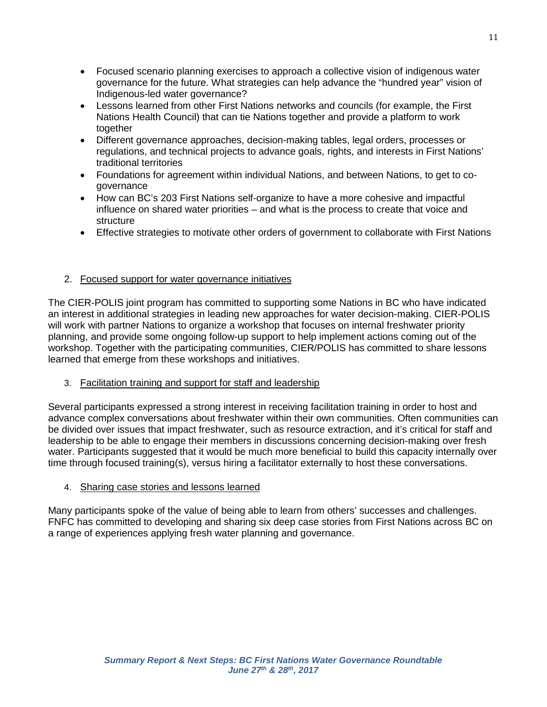- Focused scenario planning exercises to approach a collective vision of indigenous water governance for the future. What strategies can help advance the "hundred year" vision of Indigenous-led water governance?
- Lessons learned from other First Nations networks and councils (for example, the First Nations Health Council) that can tie Nations together and provide a platform to work together
- Different governance approaches, decision-making tables, legal orders, processes or regulations, and technical projects to advance goals, rights, and interests in First Nations' traditional territories
- Foundations for agreement within individual Nations, and between Nations, to get to cogovernance
- How can BC's 203 First Nations self-organize to have a more cohesive and impactful influence on shared water priorities – and what is the process to create that voice and structure
- Effective strategies to motivate other orders of government to collaborate with First Nations

## 2. Focused support for water governance initiatives

The CIER-POLIS joint program has committed to supporting some Nations in BC who have indicated an interest in additional strategies in leading new approaches for water decision-making. CIER-POLIS will work with partner Nations to organize a workshop that focuses on internal freshwater priority planning, and provide some ongoing follow-up support to help implement actions coming out of the workshop. Together with the participating communities, CIER/POLIS has committed to share lessons learned that emerge from these workshops and initiatives.

3. Facilitation training and support for staff and leadership

Several participants expressed a strong interest in receiving facilitation training in order to host and advance complex conversations about freshwater within their own communities. Often communities can be divided over issues that impact freshwater, such as resource extraction, and it's critical for staff and leadership to be able to engage their members in discussions concerning decision-making over fresh water. Participants suggested that it would be much more beneficial to build this capacity internally over time through focused training(s), versus hiring a facilitator externally to host these conversations.

### 4. Sharing case stories and lessons learned

Many participants spoke of the value of being able to learn from others' successes and challenges. FNFC has committed to developing and sharing six deep case stories from First Nations across BC on a range of experiences applying fresh water planning and governance.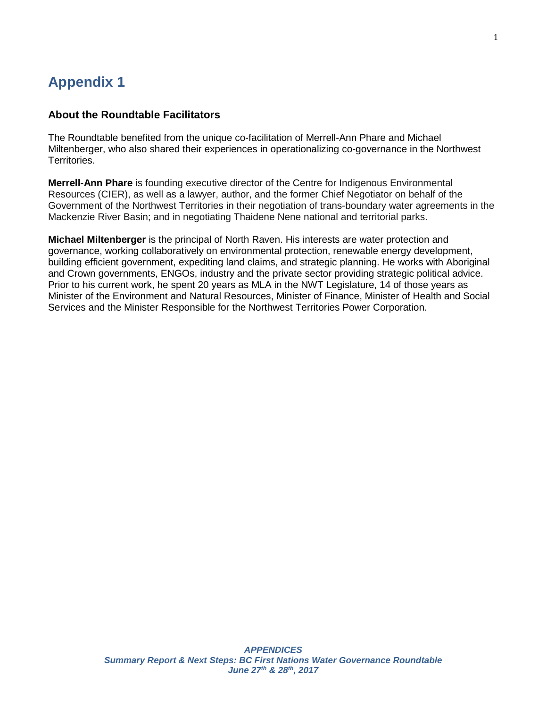# **Appendix 1**

### **About the Roundtable Facilitators**

The Roundtable benefited from the unique co-facilitation of Merrell-Ann Phare and Michael Miltenberger, who also shared their experiences in operationalizing co-governance in the Northwest Territories.

**Merrell-Ann Phare** is founding executive director of the Centre for Indigenous Environmental Resources (CIER), as well as a lawyer, author, and the former Chief Negotiator on behalf of the Government of the Northwest Territories in their negotiation of trans-boundary water agreements in the Mackenzie River Basin; and in negotiating Thaidene Nene national and territorial parks.

**Michael Miltenberger** is the principal of North Raven. His interests are water protection and governance, working collaboratively on environmental protection, renewable energy development, building efficient government, expediting land claims, and strategic planning. He works with Aboriginal and Crown governments, ENGOs, industry and the private sector providing strategic political advice. Prior to his current work, he spent 20 years as MLA in the NWT Legislature, 14 of those years as Minister of the Environment and Natural Resources, Minister of Finance, Minister of Health and Social Services and the Minister Responsible for the Northwest Territories Power Corporation.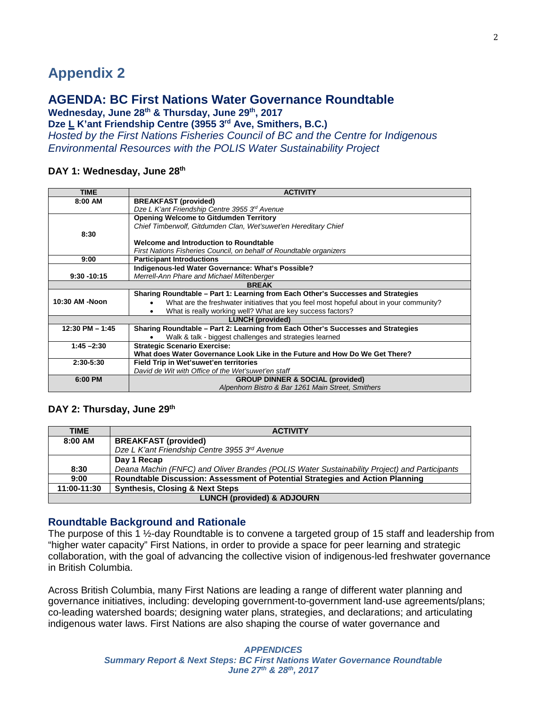# **Appendix 2**

# **AGENDA: BC First Nations Water Governance Roundtable**

**Wednesday, June 28th & Thursday, June 29th, 2017**

**Dze L K'ant Friendship Centre (3955 3rd Ave, Smithers, B.C.)**

*Hosted by the First Nations Fisheries Council of BC and the Centre for Indigenous Environmental Resources with the POLIS Water Sustainability Project* 

#### **DAY 1: Wednesday, June 28th**

| <b>TIME</b>                                       | <b>ACTIVITY</b>                                                                         |  |  |  |  |  |  |  |
|---------------------------------------------------|-----------------------------------------------------------------------------------------|--|--|--|--|--|--|--|
| 8:00 AM                                           | <b>BREAKFAST</b> (provided)                                                             |  |  |  |  |  |  |  |
|                                                   | Dze L K'ant Friendship Centre 3955 3 <sup>rd</sup> Avenue                               |  |  |  |  |  |  |  |
| <b>Opening Welcome to Gitdumden Territory</b>     |                                                                                         |  |  |  |  |  |  |  |
|                                                   | Chief Timberwolf, Gitdumden Clan, Wet'suwet'en Hereditary Chief                         |  |  |  |  |  |  |  |
| 8:30                                              |                                                                                         |  |  |  |  |  |  |  |
|                                                   | Welcome and Introduction to Roundtable                                                  |  |  |  |  |  |  |  |
|                                                   | First Nations Fisheries Council, on behalf of Roundtable organizers                     |  |  |  |  |  |  |  |
| 9:00<br><b>Participant Introductions</b>          |                                                                                         |  |  |  |  |  |  |  |
| Indigenous-led Water Governance: What's Possible? |                                                                                         |  |  |  |  |  |  |  |
| $9:30 - 10:15$                                    | Merrell-Ann Phare and Michael Miltenberger                                              |  |  |  |  |  |  |  |
| <b>BREAK</b>                                      |                                                                                         |  |  |  |  |  |  |  |
|                                                   | Sharing Roundtable – Part 1: Learning from Each Other's Successes and Strategies        |  |  |  |  |  |  |  |
| 10:30 AM -Noon                                    | What are the freshwater initiatives that you feel most hopeful about in your community? |  |  |  |  |  |  |  |
|                                                   | What is really working well? What are key success factors?                              |  |  |  |  |  |  |  |
| <b>LUNCH</b> (provided)                           |                                                                                         |  |  |  |  |  |  |  |
| $12:30$ PM $-1:45$                                | Sharing Roundtable – Part 2: Learning from Each Other's Successes and Strategies        |  |  |  |  |  |  |  |
|                                                   | Walk & talk - biggest challenges and strategies learned                                 |  |  |  |  |  |  |  |
| $1:45 - 2:30$                                     | <b>Strategic Scenario Exercise:</b>                                                     |  |  |  |  |  |  |  |
|                                                   | What does Water Governance Look Like in the Future and How Do We Get There?             |  |  |  |  |  |  |  |
| 2:30-5:30                                         | Field Trip in Wet'suwet'en territories                                                  |  |  |  |  |  |  |  |
|                                                   | David de Wit with Office of the Wet'suwet'en staff                                      |  |  |  |  |  |  |  |
| 6:00 PM                                           | <b>GROUP DINNER &amp; SOCIAL (provided)</b>                                             |  |  |  |  |  |  |  |
|                                                   | Alpenhorn Bistro & Bar 1261 Main Street, Smithers                                       |  |  |  |  |  |  |  |

#### **DAY 2: Thursday, June 29th**

| <b>TIME</b>                           | <b>ACTIVITY</b>                                                                              |  |  |  |  |  |  |
|---------------------------------------|----------------------------------------------------------------------------------------------|--|--|--|--|--|--|
| $8:00$ AM                             | <b>BREAKFAST (provided)</b>                                                                  |  |  |  |  |  |  |
|                                       | Dze L K'ant Friendship Centre 3955 3rd Avenue                                                |  |  |  |  |  |  |
| Day 1 Recap                           |                                                                                              |  |  |  |  |  |  |
| 8:30                                  | Deana Machin (FNFC) and Oliver Brandes (POLIS Water Sustainability Project) and Participants |  |  |  |  |  |  |
| 9:00                                  | Roundtable Discussion: Assessment of Potential Strategies and Action Planning                |  |  |  |  |  |  |
| 11:00-11:30                           | <b>Synthesis, Closing &amp; Next Steps</b>                                                   |  |  |  |  |  |  |
| <b>LUNCH (provided) &amp; ADJOURN</b> |                                                                                              |  |  |  |  |  |  |

### **Roundtable Background and Rationale**

The purpose of this 1 ½-day Roundtable is to convene a targeted group of 15 staff and leadership from "higher water capacity" First Nations, in order to provide a space for peer learning and strategic collaboration, with the goal of advancing the collective vision of indigenous-led freshwater governance in British Columbia.

Across British Columbia, many First Nations are leading a range of different water planning and governance initiatives, including: developing government-to-government land-use agreements/plans; co-leading watershed boards; designing water plans, strategies, and declarations; and articulating indigenous water laws. First Nations are also shaping the course of water governance and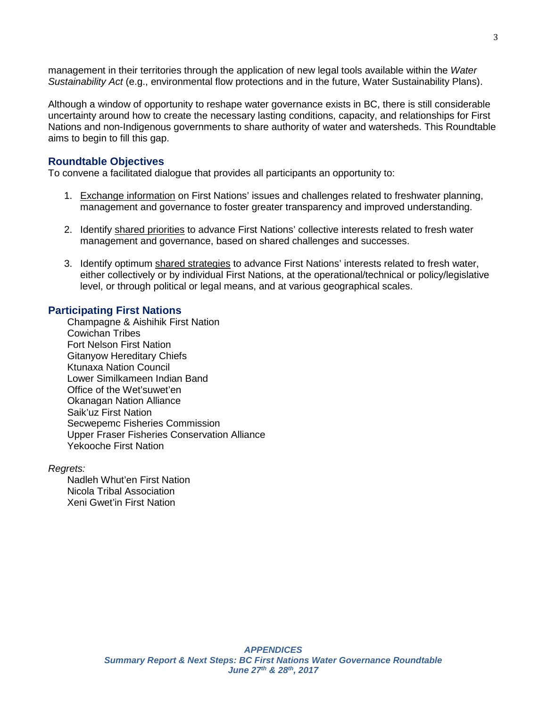management in their territories through the application of new legal tools available within the *Water Sustainability Act* (e.g., environmental flow protections and in the future, Water Sustainability Plans).

Although a window of opportunity to reshape water governance exists in BC, there is still considerable uncertainty around how to create the necessary lasting conditions, capacity, and relationships for First Nations and non-Indigenous governments to share authority of water and watersheds. This Roundtable aims to begin to fill this gap.

#### **Roundtable Objectives**

To convene a facilitated dialogue that provides all participants an opportunity to:

- 1. Exchange information on First Nations' issues and challenges related to freshwater planning, management and governance to foster greater transparency and improved understanding.
- 2. Identify shared priorities to advance First Nations' collective interests related to fresh water management and governance, based on shared challenges and successes.
- 3. Identify optimum shared strategies to advance First Nations' interests related to fresh water, either collectively or by individual First Nations, at the operational/technical or policy/legislative level, or through political or legal means, and at various geographical scales.

#### **Participating First Nations**

Champagne & Aishihik First Nation Cowichan Tribes Fort Nelson First Nation Gitanyow Hereditary Chiefs Ktunaxa Nation Council Lower Similkameen Indian Band Office of the Wet'suwet'en Okanagan Nation Alliance Saik'uz First Nation Secwepemc Fisheries Commission Upper Fraser Fisheries Conservation Alliance Yekooche First Nation

#### *Regrets:*

Nadleh Whut'en First Nation Nicola Tribal Association Xeni Gwet'in First Nation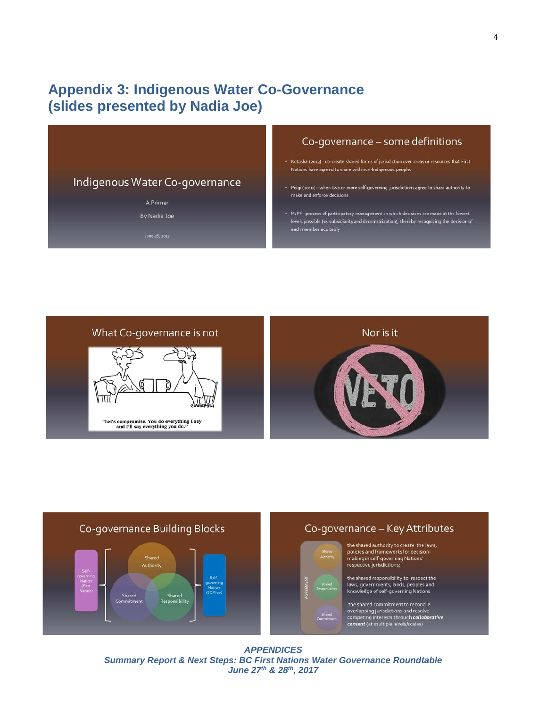# **Appendix 3: Indigenous Water Co-Governance (slides presented by Nadia Joe)**

# Indigenous Water Co-governance

A Primer

By Nadia Joe

### Co-governance - some definitions

- Kotaska (2013) co-create shared forms of jurisdiction over areas or resources that First Nations have agreed to share with non-Indigenous people.
- Peigi (2010) when two or more self-governing jurisdictions agree to share authority to make and enforce decisions
- $P_2PF$  process of participatory management in which decisions are made at the lowest<br>levels possible (ie. subsidiarity and decentralization), thereby recognizing the decision of<br>each member equitably



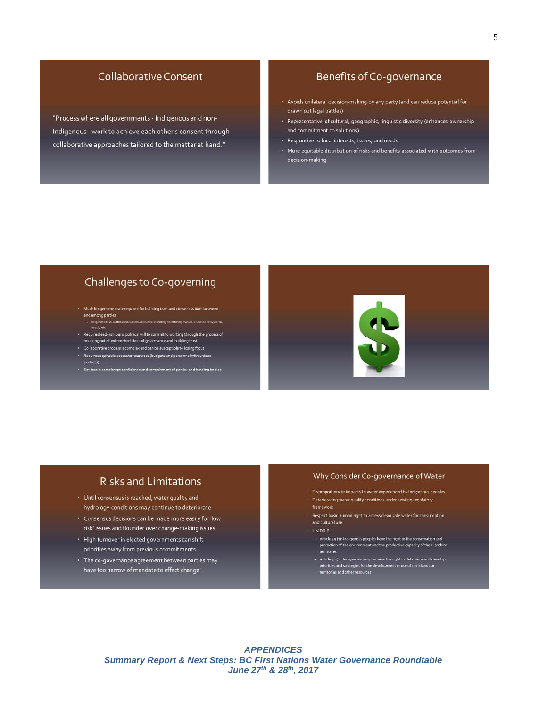### **Collaborative Consent**

"Process where all governments - Indigenous and non-Indigenous - work to achieve each other's consent through collaborative approaches tailored to the matter at hand."

## **Benefits of Co-governance**

- Avoids unilateral decision-making by any party (and can reduce potential for drawn out legal battles)
- · Representative of cultural, geographic, linguistic diversity (enhances ownership and commitment to solutions)
- . Responsive to local interests, issues, and needs
- More equitable distribution of risks and benefits associated with outcomes from decision-making

# Challenges to Co-governing

- . Much longer time scale required for building trust and consensus both between and among parties ano among parties<br>- Requires cross-collural education and understanding of differing values, knowledge systems,<br>- needs, etc.
- Requires leadership and political will to commit to working through the process of
- breaking out of entrenched ideas of governance and building trust
- Collaborative process is complex and can be susceptible to losing focus
- · Requires equitable access to resources (budgets and personnel with unique
- skillsets)
- Set-backs can disrupt confidence and commitment of parties and funding bodies



#### **Risks and Limitations**

- · Until consensus is reached, water quality and hydrology conditions may continue to deteriorate
- Consensus decisions can be made more easily for 'low risk' issues and flounder over change-making issues
- High turnover in elected governments can shift priorities away from previous commitments
- The co-governance agreement between parties may have too narrow of mandate to effect change

#### Why Consider Co-governance of Water

- Disproportionate impacts to water experienced by Indigenous peoples
- Deteriorating water quality conditions under existing regulatory framewor
- . Respect basic human right to access clean safe water for consumption and cultural use
- $\cdot$  UN DRIP
	- Article 29 (1): Indigenous peoples have the right to the conservation and<br>protection of the environment and the productive capacity of their lands or territories
	- $-$  Article 32 (1): Indigenous peoples have the right to determine and develop priorities and strategies for the development or use of their lands or territories and other resources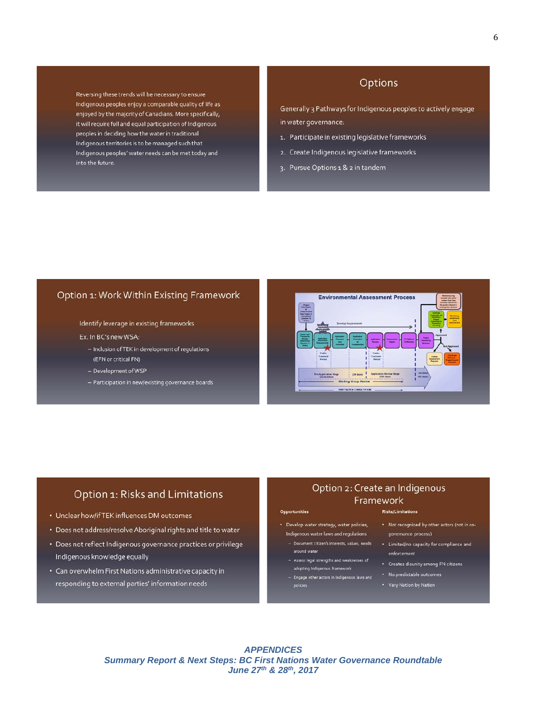Reversing these trends will be necessary to ensure Indigenous peoples enjoy a comparable quality of life as enjoyed by the majority of Canadians. More specifically, it will require full and equal participation of Indigenous peoples in deciding how the water in traditional Indigenous territories is to be managed such that Indigenous peoples' water needs can be met today and into the future.

#### Options

Generally 3 Pathways for Indigenous peoples to actively engage in water governance:

- 1. Participate in existing legislative frameworks
- 2. Create Indigenous legislative frameworks
- 3. Pursue Options 1 & 2 in tandem

#### Option 1: Work Within Existing Framework

#### Identify leverage in existing frameworks

- Ex. In BC's new WSA:
	- Inclusion of TEK in development of regulations (EFN or critical FN)
	- Development of WSP
	- Participation in new/existing governance boards



#### Option 1: Risks and Limitations

- Unclear how/if TEK influences DM outcomes
- Does not address/resolve Aboriginal rights and title to water
- Does not reflect Indigenous governance practices or privilege Indigenous knowledge equally
- Can overwhelm First Nations administrative capacity in responding to external parties' information needs

#### Option 2: Create an Indigenous Framework

- Risks/Limitations
- Develop water strategy, water policies, Not recognized by other actors (not in co-Indigenous water laws and regulations

 $-$  Engage other actors in Indigenous laws and

Opportunities

around water

policies

- Document citizen's interests, values, needs Limited/no capacity for compliance and enforcement
- Assess legal strengths and weaknesses of • Creates disunity among FN citizens adopting Indigenous framework
	- No predictable outcomes

governance process)

• Vary Nation by Nation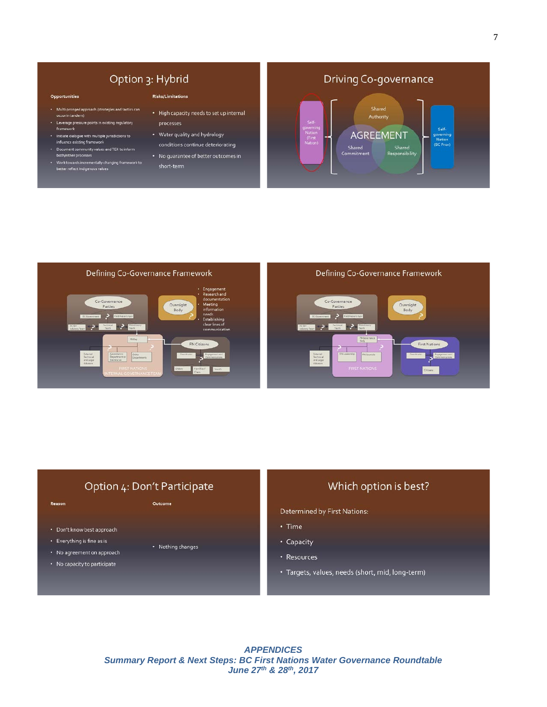# Option 3: Hybrid

#### Opportunities

- . Multi-pronged approach (strategies and tactics can
- Leverage pressure points in existing regulatory frame - Initiate dialogue with multiple jurisdictions to
- influence existing framework<br>Document community values and TEK to inform<br>both/either processes
- Work towards incrementally changing framework to<br>better reflect Indigenous values

#### **Risks/Limitations**

- · High capacity needs to set up internal processes
- Water quality and hydrology conditions continue deteriorating
- No guarantee of better outcomes in short-term





|  |  |  |  | Option 4: Don't Participate |  |
|--|--|--|--|-----------------------------|--|
|--|--|--|--|-----------------------------|--|

#### Reason

#### Outcome

• Nothing changes

- Don't know best approach
- Everything is fine as is
- No agreement on approach
- No capacity to participate

### Which option is best?

#### **Determined by First Nations:**

- Time
- Capacity
- Resources
- · Targets, values, needs (short, mid, long-term)